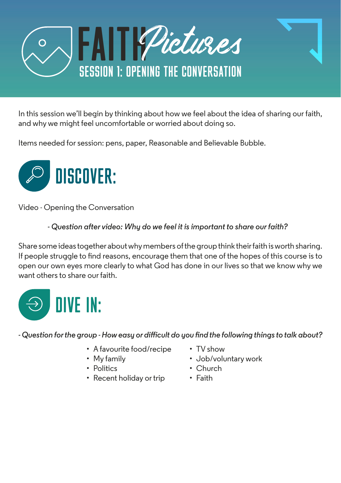

In this session we'll begin by thinking about how we feel about the idea of sharing our faith, and why we might feel uncomfortable or worried about doing so.

Items needed for session: pens, paper, Reasonable and Believable Bubble.



Video - Opening the Conversation

*- Question after video: Why do we feel it is important to share our faith?*

Share some ideas together about why members of the group think their faith is worth sharing. If people struggle to find reasons, encourage them that one of the hopes of this course is to open our own eyes more clearly to what God has done in our lives so that we know why we want others to share our faith.



*- Question for the group - How easy or difficult do you find the following things to talk about?*

- A favourite food/recipe
- My family
- Politics
- Recent holiday or trip
- TV show
- Job/voluntary work
- Church
- Faith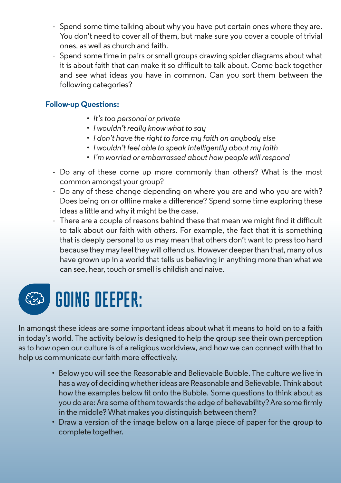- Spend some time talking about why you have put certain ones where they are. You don't need to cover all of them, but make sure you cover a couple of trivial ones, as well as church and faith.
- Spend some time in pairs or small groups drawing spider diagrams about what it is about faith that can make it so difficult to talk about. Come back together and see what ideas you have in common. Can you sort them between the following categories?

#### **Follow-up Questions:**

- *• It's too personal or private*
- *• I wouldn't really know what to say*
- *• I don't have the right to force my faith on anybody else*
- *• I wouldn't feel able to speak intelligently about my faith*
- *• I'm worried or embarrassed about how people will respond*
- Do any of these come up more commonly than others? What is the most common amongst your group?
- Do any of these change depending on where you are and who you are with? Does being on or offline make a difference? Spend some time exploring these ideas a little and why it might be the case.
- There are a couple of reasons behind these that mean we might find it difficult to talk about our faith with others. For example, the fact that it is something that is deeply personal to us may mean that others don't want to press too hard because they may feel they will offend us. However deeper than that, many of us have grown up in a world that tells us believing in anything more than what we can see, hear, touch or smell is childish and naive.



# GOING DeEPER:

In amongst these ideas are some important ideas about what it means to hold on to a faith in today's world. The activity below is designed to help the group see their own perception as to how open our culture is of a religious worldview, and how we can connect with that to help us communicate our faith more effectively.

- Below you will see the Reasonable and Believable Bubble. The culture we live in has a way of deciding whether ideas are Reasonable and Believable. Think about how the examples below fit onto the Bubble. Some questions to think about as you do are: Are some of them towards the edge of believability? Are some firmly in the middle? What makes you distinguish between them?
- Draw a version of the image below on a large piece of paper for the group to complete together.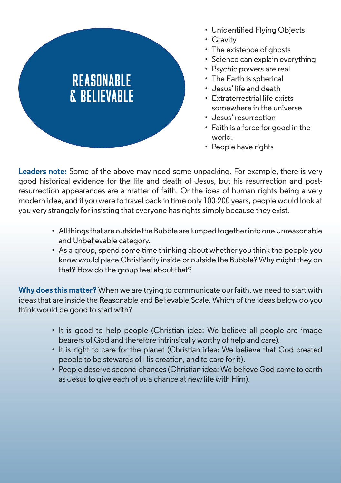

- Unidentified Flying Objects
- Gravity
- The existence of ghosts
- Science can explain everything
- Psychic powers are real
- The Earth is spherical
- Jesus' life and death
- Extraterrestrial life exists somewhere in the universe
- Jesus' resurrection
- Faith is a force for good in the world.
- People have rights

**Leaders note:** Some of the above may need some unpacking. For example, there is very good historical evidence for the life and death of Jesus, but his resurrection and postresurrection appearances are a matter of faith. Or the idea of human rights being a very modern idea, and if you were to travel back in time only 100-200 years, people would look at you very strangely for insisting that everyone has rights simply because they exist.

- All things that are outside the Bubble are lumped together into one Unreasonable and Unbelievable category.
- As a group, spend some time thinking about whether you think the people you know would place Christianity inside or outside the Bubble? Why might they do that? How do the group feel about that?

**Why does this matter?** When we are trying to communicate our faith, we need to start with ideas that are inside the Reasonable and Believable Scale. Which of the ideas below do you think would be good to start with?

- It is good to help people (Christian idea: We believe all people are image bearers of God and therefore intrinsically worthy of help and care).
- It is right to care for the planet (Christian idea: We believe that God created people to be stewards of His creation, and to care for it).
- People deserve second chances (Christian idea: We believe God came to earth as Jesus to give each of us a chance at new life with Him).